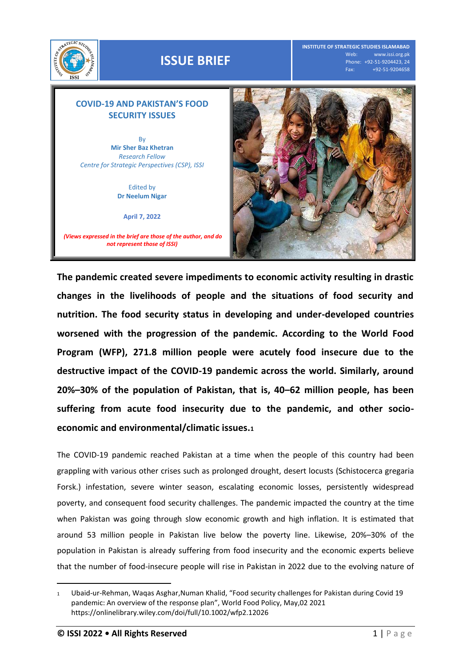

## **ISSUE BRIEF**

**INSTITUTE OF STRATEGIC STUDIES ISLAMABAD** www.issi.org.pk Phone: +92-51-9204423, 24 Fax: +92-51-9204658

## **COVID-19 AND PAKISTAN'S FOOD SECURITY ISSUES**

By **Mir Sher Baz Khetran** *Research Fellow Centre for Strategic Perspectives (CSP), ISSI*

> Edited by **Dr Neelum Nigar**

> > **April 7, 2022**

*(Views expressed in the brief are those of the author, and do not represent those of ISSI)*



**The pandemic created severe impediments to economic activity resulting in drastic changes in the livelihoods of people and the situations of food security and nutrition. The food security status in developing and under-developed countries worsened with the progression of the pandemic. According to the World Food Program (WFP), 271.8 million people were acutely food insecure due to the destructive impact of the COVID-19 pandemic across the world. Similarly, around 20%–30% of the population of Pakistan, that is, 40–62 million people, has been suffering from acute food insecurity due to the pandemic, and other socioeconomic and environmental/climatic issues.<sup>1</sup>**

The COVID-19 pandemic reached Pakistan at a time when the people of this country had been grappling with various other crises such as prolonged drought, desert locusts (Schistocerca gregaria Forsk.) infestation, severe winter season, escalating economic losses, persistently widespread poverty, and consequent food security challenges. The pandemic impacted the country at the time when Pakistan was going through slow economic growth and high inflation. It is estimated that around 53 million people in Pakistan live below the poverty line. Likewise, 20%–30% of the population in Pakistan is already suffering from food insecurity and the economic experts believe that the number of food-insecure people will rise in Pakistan in 2022 due to the evolving nature of

 $\overline{a}$ 

<sup>1</sup> Ubaid-ur-Rehman, Waqas Asghar,Numan Khalid, "Food security challenges for Pakistan during Covid 19 pandemic: An overview of the response plan", World Food Policy, May,02 2021 <https://onlinelibrary.wiley.com/doi/full/10.1002/wfp2.12026>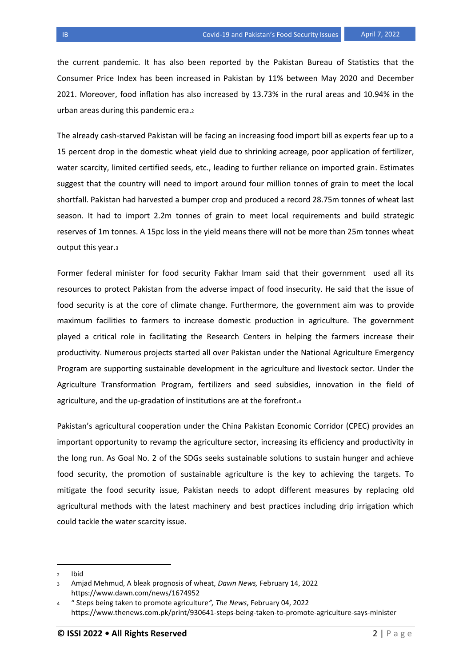the current pandemic. It has also been reported by the Pakistan Bureau of Statistics that the Consumer Price Index has been increased in Pakistan by 11% between May 2020 and December 2021. Moreover, food inflation has also increased by 13.73% in the rural areas and 10.94% in the urban areas during this pandemic era.<sup>2</sup>

The already cash-starved Pakistan will be facing an increasing food import bill as experts fear up to a 15 percent drop in the domestic wheat yield due to shrinking acreage, poor application of fertilizer, water scarcity, limited certified seeds, etc., leading to further reliance on imported grain. Estimates suggest that the country will need to import around four million tonnes of grain to meet the local shortfall. Pakistan had harvested a bumper crop and produced a record 28.75m tonnes of wheat last season. It had to import 2.2m tonnes of grain to meet local requirements and build strategic reserves of 1m tonnes. A 15pc loss in the yield means there will not be more than 25m tonnes wheat output this year.<sup>3</sup>

Former federal minister for food security Fakhar Imam said that their government used all its resources to protect Pakistan from the adverse impact of food insecurity. He said that the issue of food security is at the core of climate change. Furthermore, the government aim was to provide maximum facilities to farmers to increase domestic production in agriculture. The government played a critical role in facilitating the Research Centers in helping the farmers increase their productivity. Numerous projects started all over Pakistan under the National Agriculture Emergency Program are supporting sustainable development in the agriculture and livestock sector. Under the Agriculture Transformation Program, fertilizers and seed subsidies, innovation in the field of agriculture, and the up-gradation of institutions are at the forefront.<sup>4</sup>

Pakistan's agricultural cooperation under the China Pakistan Economic Corridor (CPEC) provides an important opportunity to revamp the agriculture sector, increasing its efficiency and productivity in the long run. As Goal No. 2 of the SDGs seeks sustainable solutions to sustain hunger and achieve food security, the promotion of sustainable agriculture is the key to achieving the targets. To mitigate the food security issue, Pakistan needs to adopt different measures by replacing old agricultural methods with the latest machinery and best practices including drip irrigation which could tackle the water scarcity issue.

l

<sup>2</sup> Ibid

<sup>3</sup> Amjad Mehmud, A bleak prognosis of wheat, *Dawn News,* February 14, 2022 <https://www.dawn.com/news/1674952>

<sup>4</sup> " Steps being taken to promote agriculture*", The News*, February 04, 2022 <https://www.thenews.com.pk/print/930641-steps-being-taken-to-promote-agriculture-says-minister>